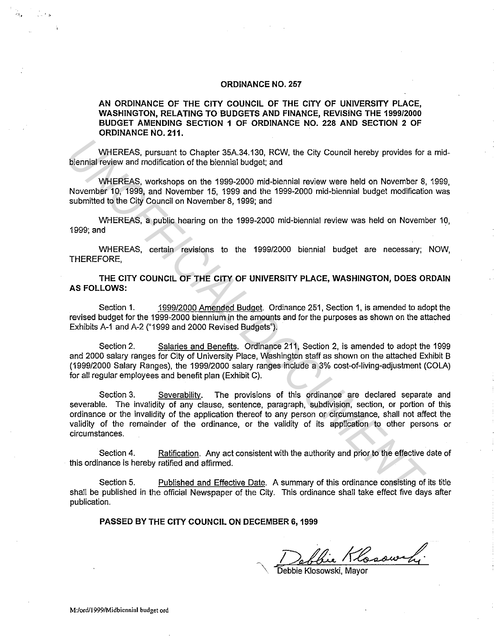### **ORDINANCE NO. 257**

### **AN ORDINANCE OF THE CITY COUNCIL OF THE CITY OF UNIVERSITY PLACE, WASHINGTON, RELATING TO BUDGETS AND FINANCE, REVISING THE 1999/2000 BUDGET AMENDING SECTION 1 OF ORDINANCE NO. 228 AND SECTION 2 OF ORDINANCE NO. 211.**

WHEREAS, pursuant to Chapter 35A.34.130, RCW, the City Council hereby provides for a midbiennial review and modification of the biennial budget; and

WHEREAS, workshops on the 1999-2000 mid-biennial review were held on November 8, 1999, November 10, 1999, and November 15, 1999 and the 1999-2000 mid-biennial budget modification was submitted to the City Council on November 8, 1999; and

WHEREAS, a public hearing on the 1999-2000 mid-biennial review was held on November 10, 1999;and

WHEREAS, certain revisions to the 1999/2000 biennial budget are necessary; NOW, THEREFORE,

**THE CITY COUNCIL OF THE CITY OF UNIVERSITY PLACE, WASHINGTON, DOES ORDAIN AS FOLLOWS:** 

Section 1. 1999/2000 Amended Budget. Ordinance 251, Section 1, is amended to adopt the revised budget for the 1999-2000 biennium in the amounts and for the purposes as shown on the attached Exhibits A-1 and A-2 ("1999 and 2000 Revised Budgets").

Section 2. Salaries and Benefits. Ordinance 211, Section 2, is amended to adopt the 1999 and 2000 salary ranges for City of University Place, Washington staff as shown on the attached Exhibit B (1999/2000 Salary Ranges), the 1999/2000 salary ranges include a 3% cost-of-living-adjustment (COLA) for all regular employees and benefit plan (Exhibit C).

Section 3. Severability. The provisions of this ordinance are declared separate and severable. The invalidity of any clause, sentence, paragraph, subdivision, section, or portion of this ordinance or the invalidity of the application thereof to any person or circumstance, shall not affect the validity of the remainder of the ordinance, or the validity of its application to other persons or circumstances. WHEREAS, pursuant to Chapter 36A,34.130, RCW, the City Council hereby provides for<br> **UNHEREAS, vorkshops on the 1999-2000** mid-biennial review were held on November 8,<br>
WHEREAS, workshops on the 1999-2000 mid-biennial budg

Section 4. Ratification. Any act consistent with the authority and prior to the effective date of this ordinance is hereby ratified and affirmed.

Section 5. Published and Effective Date. A summary of this ordinance consisting of its title shall be published in the official Newspaper of the City. This ordinance shall take effect five days after publication.

**PASSED BY THE CITY COUNCIL ON DECEMBER 6, 1999** 

Debbie Klosowski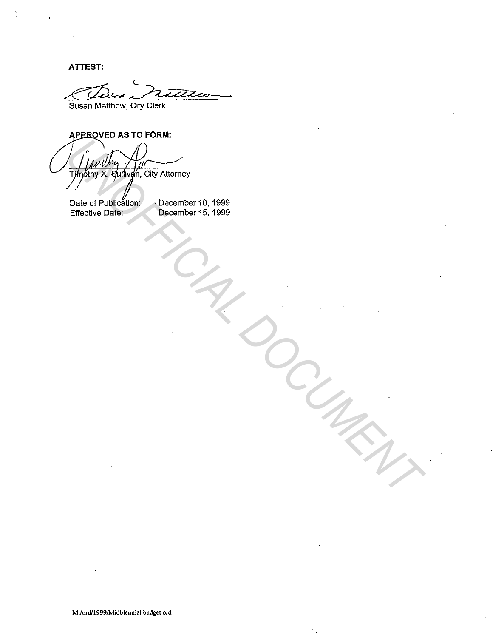**ATTEST:** 

Susan Matthew, City Clerk

**APPROVED AS TO FORM:** 

. othy X. Sullivan, City Attorney The City of the City Attorney<br>
Date of Publication<br>
Elisetive Date:<br>
Elisetive Date:<br>
Control of Publication<br>
Control of Publication<br>
Control of Publication<br>
Control of Publication<br>
Control of Publication<br>
Control of Publi

Date of Publication: **December 10, 1999** 

Effective Date: December 15, 1999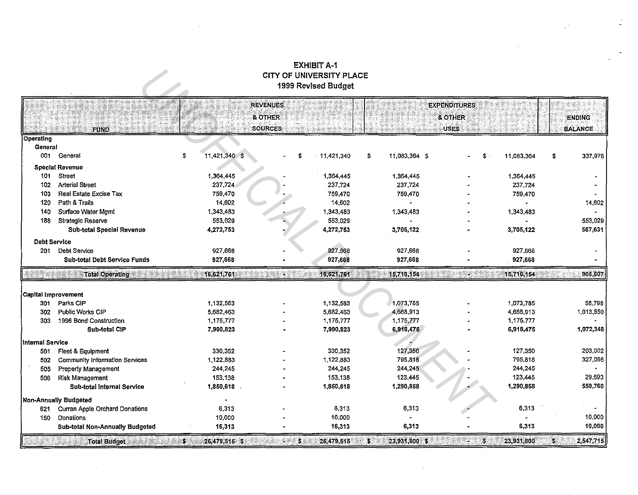## EXHIBIT A-1 CITY OF UNIVERSITY PLACE 1999 Revised Budget

|                         |                                       |                     | CITY OF UNIVERSITY PLACE | 1999 Revised Budget |                                       |                       |  |                           |  |
|-------------------------|---------------------------------------|---------------------|--------------------------|---------------------|---------------------------------------|-----------------------|--|---------------------------|--|
|                         |                                       |                     | <b>REVENUES</b>          |                     |                                       | <b>EXPENDITURES</b>   |  |                           |  |
|                         |                                       |                     | <b>&amp; OTHER</b>       |                     |                                       | & OTHER               |  | <b>ENDING</b>             |  |
|                         | FUND                                  |                     | <b>SOURCES</b>           |                     |                                       | <b>USES</b>           |  | <b>BALANCE</b>            |  |
| <b>Operating</b>        |                                       |                     |                          |                     |                                       |                       |  |                           |  |
| General                 |                                       |                     |                          |                     |                                       |                       |  |                           |  |
|                         | 001 General                           | 11,421,340 \$<br>\$ | Ŝ                        | 11,421,340          | 11,083,364 \$<br>\$                   | 11,083,364<br>S       |  | 337,976<br>\$             |  |
|                         | <b>Special Revenue</b>                |                     |                          |                     |                                       |                       |  |                           |  |
| 101                     | <b>Street</b>                         | 1,364,445           |                          | 1,364,445           | 1,364,445                             | 1,364,445             |  |                           |  |
| 102                     | <b>Arterial Street</b>                | 237,724             |                          | 237,724             | 237,724                               | 237,724               |  |                           |  |
| 103                     | Real Estate Excise Tax                | 759,470             |                          | 759,470             | 759,470                               | 759,470               |  |                           |  |
| 120                     | Path & Trails                         | 14,602              |                          | 14,602              |                                       |                       |  | 14,602                    |  |
| 140                     | Surface Water Mgmt                    | 1,343,483           |                          | 1,343,483           | 1,343,483                             | 1,343,483             |  | $\blacksquare$            |  |
| 188                     | <b>Strategic Reserve</b>              | 553,029             |                          | 553,029             |                                       |                       |  | 553,029                   |  |
|                         | Sub-total Special Revenue             | 4,272,753           |                          | 4,272,753           | 3,705,122                             | 3,705,122             |  | 567,631                   |  |
| <b>Debt Service</b>     |                                       |                     |                          |                     |                                       |                       |  |                           |  |
| 201                     | <b>Debt Service</b>                   | 927,668             |                          | 927,668             | 927,668                               | 927,668               |  |                           |  |
|                         | <b>Sub-total Debt Service Funds</b>   | 927,668             |                          | 927,668             | 927,668                               | 927,668               |  |                           |  |
|                         | <b>Total Operating</b>                | 16,621,761          | 98                       | 16,621,761          | 15,716,154                            | 15,716,154<br>88      |  | 905,607                   |  |
|                         |                                       |                     |                          |                     |                                       |                       |  |                           |  |
| Capital Improvement     |                                       |                     |                          |                     |                                       |                       |  |                           |  |
| 301                     | Parks CIP                             | 1,132,583           |                          | 1,132,583           | 1,073,785                             | 1,073,785             |  | 58,798                    |  |
| 302                     | <b>Public Works CIP</b>               | 5,682,463           |                          | 5,682,463           | 4,668,913                             | 4,668,913             |  | 1,013,550                 |  |
| 303                     | 1996 Bond Construction                | 1,175,777           |                          | 1,175,777           | 1.175,777                             | 1,175,777             |  |                           |  |
|                         | <b>Sub-total CIP</b>                  | 7,990,823           |                          | 7,990,823           | 6,918,475                             | 6,918,475             |  | 1,072,348                 |  |
| <b>Internal Service</b> |                                       |                     |                          |                     |                                       |                       |  |                           |  |
| 501                     | Fleet & Equipment                     | 330,352             |                          | 330,352             | 127,350                               | 127,350               |  | 203,002                   |  |
| 502                     | <b>Community Information Services</b> | 1,122,883           |                          | 1,122,883           | 795,818                               | 795,818               |  | 327,065                   |  |
| 505                     | Property Management                   | 244,245             |                          | 244,245             | 244,245                               | 244,245               |  |                           |  |
| 506                     | <b>Risk Management</b>                | 153,138             |                          | 153,138             | 123,445                               | 123,445               |  | 29,693                    |  |
|                         | Sub-total Internal Service            | 1,850,618           |                          | 1,850,618           | 1,290,858                             | 1,290,858             |  | 559,760                   |  |
| Non-Annually Budgeted   |                                       |                     |                          |                     |                                       |                       |  |                           |  |
| 621                     | Curran Apple Orchard Donations        | 6.313               |                          | 6,313               | 6,313                                 | 6,313                 |  |                           |  |
| 150                     | Donations                             | 10,000              |                          | 10,000              |                                       |                       |  | 10,000                    |  |
|                         | Sub-total Non-Annually Budgeted       | 16,313              |                          | 16,313              | 6,313                                 | 6,313                 |  | 10,000                    |  |
|                         | <b>Total Budget</b>                   | 26,479,515 \$<br>S. | 3.                       | 26,479,515          | $\ddot{\phantom{a}}$<br>23,931,800 \$ | 23,931,800<br>8<br>A. |  | 2,547,715<br>$\mathbb{S}$ |  |

 $\mathcal{L}_{\mathcal{A}}$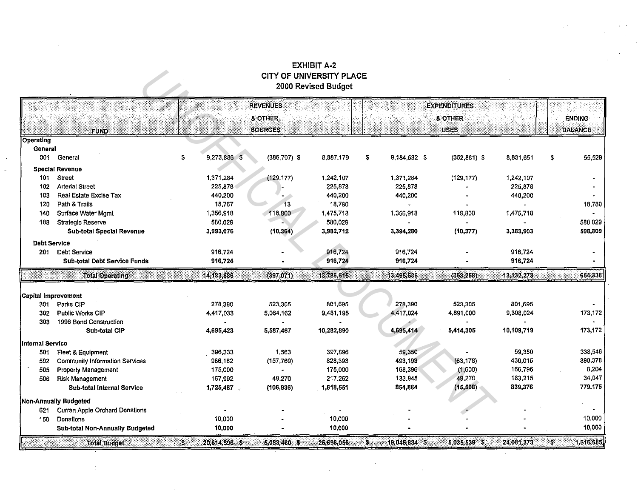# **EXHIBIT A-2 CITY OF UNIVERSITY PLACE**<br>2000 Revised Budget

|                     | CITY OF UNIVERSITY PLACE<br>2000 Revised Budget |                     |                                                         |            |                     |                                               |            |    |                                 |
|---------------------|-------------------------------------------------|---------------------|---------------------------------------------------------|------------|---------------------|-----------------------------------------------|------------|----|---------------------------------|
|                     | <b>FUND</b>                                     |                     | <b>REVENUES</b><br><b>&amp; OTHER</b><br><b>SOURCES</b> |            |                     | <b>EXPENDITURES</b><br>& OTHER<br><b>USES</b> |            |    | <b>ENDING</b><br><b>BALANCE</b> |
| Operating           |                                                 |                     |                                                         |            |                     |                                               |            |    |                                 |
| General             |                                                 |                     |                                                         |            |                     |                                               |            |    |                                 |
| 001                 | General                                         | 9,273,886 \$<br>s   | $(386, 707)$ \$                                         | 8,887.179  | \$<br>9,184,532 \$  | $(352, 881)$ \$                               | 8,831,651  | \$ | 55,529                          |
|                     | <b>Special Revenue</b>                          |                     |                                                         |            |                     |                                               |            |    |                                 |
| 101                 | <b>Street</b>                                   | 1,371,284           | (129, 177)                                              | 1,242,107  | 1,371,284           | (129, 177)                                    | 1,242,107  |    |                                 |
| 102                 | <b>Arterial Street</b>                          | 225,878             |                                                         | 225,878    | 225,878             |                                               | 225,878    |    |                                 |
| 103                 | Real Estate Excise Tax                          | 440,200             |                                                         | 440,200    | 440,200             |                                               | 440,200    |    |                                 |
| 120                 | Path & Trails                                   | 18,767              | 13                                                      | 18.780     |                     |                                               |            |    | 18,780                          |
| 140                 | Surface Water Mgmt                              | 1,356,918           | 118,800                                                 | 1,475,718  | 1,356,918           | 118,800                                       | 1,475,718  |    |                                 |
| 188                 | <b>Strategic Reserve</b>                        | 580,029             |                                                         | 580,029    |                     |                                               |            |    | 580,029                         |
|                     | <b>Sub-total Special Revenue</b>                | 3,993,076           | (10, 364)                                               | 3,982,712  | 3,394,280           | (10, 377)                                     | 3,383,903  |    | 598,809                         |
| Debt Service        |                                                 |                     |                                                         |            |                     |                                               |            |    |                                 |
| 201                 | <b>Debt Service</b>                             | 916,724             |                                                         | 916,724    | 916,724             |                                               | 916,724    |    |                                 |
|                     | <b>Sub-total Debt Service Funds</b>             | 916,724             |                                                         | 916,724    | 916,724             |                                               | 916,724    |    |                                 |
|                     | <b>Total Operating</b>                          | 14, 183, 686        | (397, 071)                                              | 13,786,615 | 13,495,536          | (363, 258)                                    | 13,132,278 |    | 654,338                         |
|                     |                                                 |                     |                                                         |            |                     |                                               |            |    |                                 |
| Capital Improvement |                                                 |                     |                                                         |            |                     |                                               |            |    |                                 |
| 301                 | Parks CIP                                       | 278,390             | 523,305                                                 | 801,695    | 278,390             | 523,305                                       | 801,695    |    |                                 |
| 302                 | Public Works CIP                                | 4,417,033           | 5,064,162                                               | 9,481,195  | 4,417,024           | 4,891,000                                     | 9,308,024  |    | 173,172                         |
| 303                 | 1996 Bond Construction                          |                     |                                                         |            |                     |                                               |            |    |                                 |
|                     | Sub-total CIP                                   | 4,695,423           | 5,587,467                                               | 10,282.890 | 4,695,414           | 5,414,305                                     | 10,109,719 |    | 173,172                         |
| Internal Service    |                                                 |                     |                                                         |            |                     |                                               |            |    |                                 |
| 501                 | Fleet & Equipment                               | 396,333             | 1,563                                                   | 397,896    | 59,350              |                                               | 59,350     |    | 338,546                         |
| 502                 | <b>Community Information Services</b>           | 986,162             | (157, 769)                                              | 828,393    | 493,193             | (63, 178)                                     | 430,015    |    | 398,378                         |
| 505                 | <b>Property Management</b>                      | 175,000             |                                                         | 175,000    | 168,396             | (1,600)                                       | 166,796    |    | 8,204                           |
| 506                 | <b>Risk Management</b>                          | 167,992             | 49,270                                                  | 217.262    | 133,945             | 49,270                                        | 183,215    |    | 34,047                          |
|                     | Sub-total Internal Service                      | 1,725,487           | (106, 936)                                              | 1,618,551  | 854,884             | (15, 508)                                     | 839,376    |    | 779,175                         |
|                     | Non-Annually Budgeted                           |                     |                                                         |            |                     |                                               |            |    |                                 |
| 621                 | <b>Curran Apple Orchard Donations</b>           |                     |                                                         |            |                     |                                               |            |    |                                 |
| 150                 | Donations                                       | 10,000              |                                                         | 10,000     |                     |                                               |            |    | 10,000                          |
|                     | Sub-total Non-Annually Budgeted                 | 10,000              |                                                         | 10,000     |                     |                                               |            |    | 10,000                          |
|                     | <b>Total Budget</b><br>98. S.                   | 20,614,596 \$<br>S. | 5,083,460 \$                                            | 25,698,056 | 19,045,834 \$<br>38 | 5,035,539 \$                                  | 24,081,373 | ъ. | 1,616,685                       |

 $\frac{1}{2}$  .

 $\sim$ 

 $\epsilon$ 

 $\alpha$  .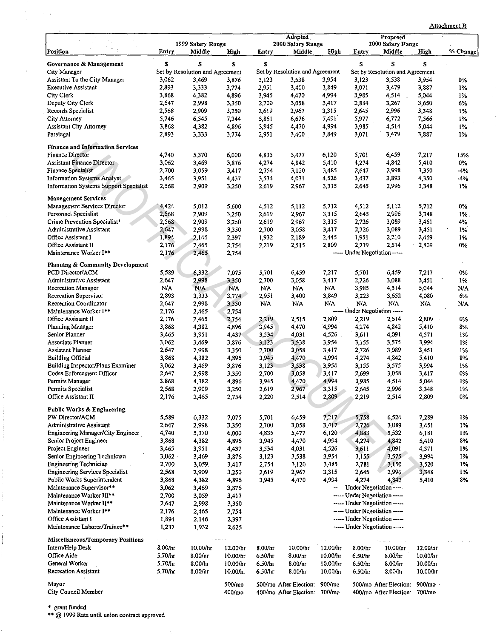|  | Attachment B |
|--|--------------|
|--|--------------|

|                                               |         | 1999 Salary Range               |          |                                                                | <b>Adopted</b><br>2000 Salary Range |          |                               | Proposed<br>2000 Salary Pange   |          |          |
|-----------------------------------------------|---------|---------------------------------|----------|----------------------------------------------------------------|-------------------------------------|----------|-------------------------------|---------------------------------|----------|----------|
| Position                                      | Entry   | Middle                          | High     | Entry                                                          | Middle                              | High     | Entry                         | Middle                          | High     | % Change |
| Governance & Management                       | S       | S                               | S        | \$                                                             |                                     |          | \$                            | S                               | S        |          |
| City Manager                                  |         | Set by Resolution and Agreement |          |                                                                | Set by Resolution and Agreement     |          |                               | Set by Resolution and Agreement |          |          |
| Assistant To the City Manager                 | 3,062   | 3,469                           | 3,876    | 3,123                                                          | 3,538                               | 3,954    | 3,123                         | 3,538                           | 3,954    | 0%       |
| <b>Executive Assistant</b>                    | 2,893   | 3,333                           | 3,774    | 2,951                                                          | 3,400                               | 3,849    | 3,071                         | 3,479                           | 3,887    | 1%       |
| City Clerk                                    | 3,868   | 4,382                           | 4,896    | 3,945                                                          | 4,470                               | 4,994    | 3,985                         | 4,514                           | 5,044    | 1%       |
| Deputy City Clerk                             | 2,647   | 2,998                           | 3,350    | 2,700                                                          | 3,058                               | 3,417    | 2,884                         | 3,267                           | 3,650    | 6%       |
| Records Specialist                            | 2,568   | 2,909                           | 3,250    | 2,619                                                          | 2,967                               | 3,315    | 2,645                         | 2,996                           | 3,348    | 1%       |
| City Attorney                                 | 5,746   | 6,545                           | 7,344    | 5,861                                                          | 6,676                               | 7,491    | 5,977                         | 6,772                           | 7,566    | 1%       |
| <b>Assistant City Attorney</b>                | 3,868   | 4,382                           | 4,896    | 3,945                                                          | 4,470                               | 4,994    | 3,985                         | 4,514                           | 5,044    | 1%       |
| Paralegal                                     | 2,893   | 3,333                           | 3,774    | 2,951                                                          | 3,400                               | 3,849    | 3,071                         | 3,479                           | 3,887    | 1%       |
| <b>Finance and Information Services</b>       |         |                                 |          |                                                                |                                     |          |                               |                                 |          |          |
| Finance Director                              | 4,740   | 5,370                           | 6,000    | 4,835                                                          | 5,477                               | 6,120    | 5,701                         | 6,459                           | 7,217    | 15%      |
| Assistant Finance Director                    | 3,062   | 3,469                           | 3,876    | 4,274                                                          | 4,842                               | 5,410    | 4,274                         | 4,842                           | 5,410    | 0%       |
| Finance Specialist                            | 2,700   | 3,059                           | 3,417    | 2,754                                                          | 3,120                               | 3,485    | 2,647                         | 2,998                           | 3,350    | -4%      |
| <b>Information Systems Analyst</b>            | 3,465   | 3,951                           | 4,437    | 3,534                                                          | 4,031                               | 4,526    | 3,437                         | 3,893                           | 4,350    | -4%      |
| <b>Information Systems Support Specialist</b> | 2,568   | 2,909                           | 3,250    | 2,619                                                          | 2,967                               | 3,315    | 2,645                         | 2,996                           | 3,348    | 1%       |
| <b>Management Services</b>                    |         |                                 |          |                                                                |                                     |          |                               |                                 |          |          |
| Management Services Director                  | 4,424   | 5,012                           | 5,600    | 4,512                                                          | 5,112                               | 5,712    | 4,512                         | 5,112                           | 5,712    | 0%       |
| Personnel Specialist                          | 2,568   | 2,909                           |          | 2,619                                                          |                                     | 3,315    | 2,645                         | 2,996                           | 3,348    | $1\%$ .  |
|                                               |         |                                 | 3,250    |                                                                | 2,967                               |          |                               |                                 |          |          |
| Crime Prevention Specialist*                  | 2,568   | 2,909                           | 3,250    | 2,619                                                          | 2,967                               | 3,315    | 2,726                         | 3,089                           | 3,451    | 4%       |
| Administrative Assistant                      | 2,647   | 2,998                           | 3,350    | 2,700                                                          | 3,058                               | 3,417    | 2,726                         | 3,089                           | 3,451    | 1%       |
| Office Assistant I                            | 1,894   | 2,146                           | 2,397    | 1,932                                                          | 2,189                               | 2,445    | 1,951                         | 2,210                           | 2,469    | 1%       |
| Office Assistant II                           | 2,176   | 2,465                           | 2,754    | 2,219                                                          | 2,515                               | 2,809    | 2,219                         | 2,514                           | 2,809    | 0%       |
| Maintenance Worker I **                       | 2,176   | 2,465                           | 2,754    |                                                                |                                     |          | ----- Under Negotiation ----- |                                 |          |          |
| Planning & Community Development              |         |                                 |          |                                                                |                                     |          |                               |                                 |          |          |
| PCD Director/ACM                              | 5,589   | 6,332                           | 7,075    | 5,701                                                          | 6,459                               | 7,217    | 5,701                         | 6,459                           | 7,217    | 0%       |
| Administrative Assistant                      | 2,647   | 2,998                           | 3,350    | 2,700                                                          | 3,058                               | 3,417    | 2,726                         | 3,088                           | 3,451    | 1%       |
| Recreation Manager                            | N/A     | N.A                             | N/A      | N/A                                                            | N/A                                 | N/A      | 3,985                         | 4,514                           | 5,044    | N/A      |
| Recreation Supervisor                         | 2,893   | 3,333                           | 3,774    | 2,951                                                          | 3,400                               | 3,849    | 3,223                         | 3,652                           | 4,080    | 6%       |
| Recreation Coordinator                        | 2,647   | 2,998                           | 3,350    | N/A                                                            | N/A                                 | N/A      | N/A                           | N/A                             | N/A      | N/A      |
| Maintenance Worker I**                        | 2,176   | 2,465                           | 2,754    |                                                                |                                     |          | ----- Under Negotiation ----- |                                 |          |          |
| Office Assistant II                           | 2,176   | 2,465                           | 2,754    | 2,219                                                          | 2,515                               | 2,809    | 2,219                         | 2,514                           | 2,809    | 0%       |
| Planning Manager                              | 3,868   | 4,382                           | 4,896    | 3,945                                                          | 4,470                               | 4,994    | 4,274                         | 4,842                           | 5.410    | 8%       |
| Senior Planner                                | 3,465   | 3,951                           | 4,437    | 3,534                                                          | 4,031                               | 4,526    | 3,611                         | 4,091                           | 4,571    | 1%       |
| Associate Planner                             | 3,062   | 3,469                           | 3,876    | 3,123                                                          | 3,538                               | 3,954    | 3,155                         | 3,575                           | 3,994    | 1%       |
| Assistant Planner                             | 2,647   | 2,998                           | 3,350    | 2,700                                                          | 3,058                               | 3 4 1 7  | 2,726                         | 3,089                           | 3,451    | 1%       |
| Building Official                             | 3,868   | 4,382                           | 4,896    | 3,945                                                          | 4,470                               | 4,994    | 4,274                         | 4,842                           | 5,410    | 3%       |
| Building Inspector/Plans Examiner             | 3,062   | 3,469                           | 3,876    | 3,123                                                          | 3,538                               | 3,954    | 3,155                         | 3,575                           | 3,994    | 1%       |
| Codes Enforcement Officer                     | 2,647   | 2,998                           | 3,350    | 2,700                                                          | 3,058                               | 3,417    | 2,699                         | 3,058                           | 3,417    | 0%       |
| Permits Manager                               | 3,868   | 4,382                           | 4,896    | 3,945                                                          | 4,470                               | 4,994    | 3,985                         | 4,514                           | 5,044    | 1%       |
| Permits Specialist                            | 2,568   | 2,909                           | 3,250    | 2,619                                                          | 2,967                               | 3,315    | 2,645                         | 2,996                           | 3,348    | 1%       |
| Office Assistant II                           | 2,176   | 2,465                           | 2,754    | 2,220                                                          | 2,514                               | 2,809    | 2,219                         | 2,514                           | 2,809    | 0%       |
| Public Works & Engineering                    |         |                                 |          |                                                                |                                     |          |                               |                                 |          |          |
| PW Director/ACM                               | 5,589   | 6,332                           | 7,075    | 5,701                                                          | 6,459                               | 7,217    | 5,758                         | 6,524                           | 7,289    | 1%       |
| Administrative Assistant                      | 2,647   | 2,998                           | 3,350    | 2,700                                                          | 3,058                               | 3,417    | 2,726                         | 3,089                           | 3,451    | 1%       |
| Engineering Manager/City Engineer             | 4,740   | 5,370                           | 6,000    | 4,835                                                          | 5,477                               | 6,120    | 4,883                         | 5,532                           | 6,181    | 1%       |
| Senior Project Engineer                       | 3,868   | 4,382                           | 4,896    | 3,945                                                          | 4,470                               | 4,994    | 4,274                         | 4,842                           | 5,410    | 8%       |
| Project Engineer                              | 3,465   | 3,951                           | 4,437    | 3,534                                                          | 4,031                               | 4,526    | 3,611                         | 4,091                           | 4,571    | 1%       |
| Senior Engineering Technician                 | 3,062   | 3,469                           | 3,876    | 3,123                                                          | 3,538                               | 3,954    | 3,155                         | 3,575                           | 3,994    | 1%       |
| <b>Engineering Technician</b>                 | 2,700   | 3,059.                          | 3,417    | 2,754                                                          | 3,120                               | 3,485    | 2,781                         | 3,150                           | 3,520    | 1%       |
| <b>Engineering Services Specialist</b>        | 2,568   | 2,909                           | 3,250    | 2,619                                                          | 2,967                               | 3,315    | 2,645                         | 2,996                           | 3,348    | 1%       |
|                                               |         |                                 |          |                                                                |                                     |          |                               |                                 |          |          |
| Public Works Superintendent                   | 3,868   | 4,382                           | 4,896    | 3,945                                                          | 4,470                               | 4,994    | 4,274                         | 4,842                           | 5,410    | 8%       |
| Maintenance Supervisor**                      | 3,062   | 3,469                           | 3,876    |                                                                |                                     |          | ----- Under Negotiation ----- |                                 |          |          |
| Maintenance Worker III**                      | 2,700   | 3,059                           | 3,417    |                                                                |                                     |          | ----- Under Negotiation ----- |                                 |          |          |
| Maintenance Worker II**                       | 2,647   | 2,998                           | 3,350    |                                                                |                                     |          | ----- Under Negotiation ----- |                                 |          |          |
| Maintenance Worker I**                        | 2,176   | 2,465                           | 2,754    |                                                                |                                     |          | ----- Under Negotiation ----- |                                 |          |          |
| Office Assistant I                            | 1,894   | 2,146                           | 2,397    | ----- Under Negotiation -----<br>----- Under Negotiation ----- |                                     |          |                               |                                 |          |          |
| Maintenance Laborer/Trainee**                 | 1,237   | 1,932                           | 2,625    |                                                                |                                     |          |                               |                                 |          |          |
| <b>Miscellaneous/Temporary Positions</b>      |         |                                 |          |                                                                |                                     |          |                               |                                 |          |          |
| Intern/Help Desk                              | 8.00/hr | 10.00/hr                        | 12.00/hr | 8.00/hr                                                        | 10.00/hr                            | 12.00/hr | 8.00/hr                       | 10.00/hr                        | 12.00/hr |          |
| Office Aide                                   | 5.70/hr | 8.00/hr                         | 10.00/hr | 6.50/hr                                                        | 8.00/hr                             | 10.00/hr | 6.50/hr                       | 8.00/hr                         | 10.00/hr |          |
| General Worker                                | 5.70/hr | 8.00/hr                         | 10.00/hr | 6.50/hr                                                        | 8.00/hr                             | 10.00/hr | 6.50/hr                       | 8.00/hr                         | 10.00/hr |          |
| Recreation Assistant                          | 5.70/hr | 8.00/hr                         | 10.00/hr | 6.50/hr                                                        | 8.00/hr                             | 10.00/hr | 6.50/hr                       | 8.00/hr                         | 10.00/hr |          |
| Mayor                                         |         |                                 | 500/mo   |                                                                | 500/mo After Election:              | 900/mo   |                               | 500/mo After Election:          | 900/mo   |          |
| City Council Member                           |         |                                 | 400/mo   |                                                                | 400/mo After Election:              | 700/mo   |                               | 400/mo After Election:          | 700/mo   |          |
|                                               |         |                                 |          |                                                                |                                     |          |                               |                                 |          |          |

\* **grant funded** 

 $\label{eq:2} \frac{1}{\sqrt{2}}\left(\frac{1}{\sqrt{2}}\right)^2\left(\frac{1}{\sqrt{2}}\right)^2\left(\frac{1}{\sqrt{2}}\right)^2.$ 

 $\sim 10^7$ 

 $\sim 10$ 

•• @ **1999 Rate until union contract approved** 

 $\sim 10^{11}$  m  $^{-1}$